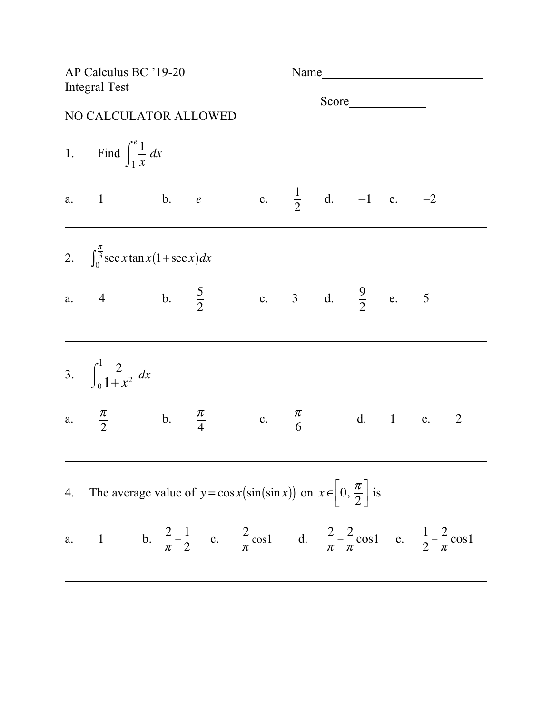| AP Calculus BC '19-20<br><b>Integral Test</b>                                                  |                                                                                                                                                |  |  |  |  |  |                              |  |  |  |
|------------------------------------------------------------------------------------------------|------------------------------------------------------------------------------------------------------------------------------------------------|--|--|--|--|--|------------------------------|--|--|--|
|                                                                                                | NO CALCULATOR ALLOWED                                                                                                                          |  |  |  |  |  |                              |  |  |  |
|                                                                                                | 1. Find $\int_{1}^{e} \frac{1}{x} dx$                                                                                                          |  |  |  |  |  |                              |  |  |  |
|                                                                                                | a. $1$ b. $e$                                                                                                                                  |  |  |  |  |  | c. $\frac{1}{2}$ d. -1 e. -2 |  |  |  |
|                                                                                                | 2. $\int_0^{\frac{\pi}{3}} \sec x \tan x (1 + \sec x) dx$                                                                                      |  |  |  |  |  |                              |  |  |  |
|                                                                                                | a. 4 b. $\frac{5}{2}$ c. 3 d. $\frac{9}{2}$ e. 5                                                                                               |  |  |  |  |  |                              |  |  |  |
|                                                                                                | 3. $\int_0^1 \frac{2}{1+x^2} dx$                                                                                                               |  |  |  |  |  |                              |  |  |  |
|                                                                                                | a. $\frac{\pi}{2}$ b. $\frac{\pi}{4}$ c. $\frac{\pi}{6}$ d. 1 e. 2                                                                             |  |  |  |  |  |                              |  |  |  |
| 4. The average value of $y = \cos x(\sin(\sin x))$ on $x \in \left[0, \frac{\pi}{2}\right]$ is |                                                                                                                                                |  |  |  |  |  |                              |  |  |  |
|                                                                                                | a. 1 b. $\frac{2}{\pi} - \frac{1}{2}$ c. $\frac{2}{\pi} \cosh$ d. $\frac{2}{\pi} - \frac{2}{\pi} \cosh$ e. $\frac{1}{2} - \frac{2}{\pi} \cosh$ |  |  |  |  |  |                              |  |  |  |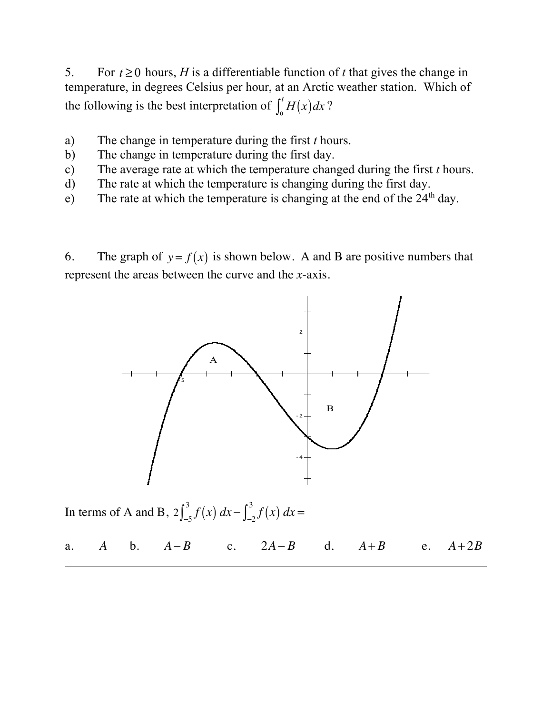5. For  $t \geq 0$  hours, *H* is a differentiable function of *t* that gives the change in temperature, in degrees Celsius per hour, at an Arctic weather station. Which of the following is the best interpretation of  $\int_0^t H(x) dx$ ?  $\int_0^t$ 

- a) The change in temperature during the first *t* hours.
- b) The change in temperature during the first day.
- c) The average rate at which the temperature changed during the first *t* hours.
- d) The rate at which the temperature is changing during the first day.
- e) The rate at which the temperature is changing at the end of the  $24<sup>th</sup>$  day.

6. The graph of  $y = f(x)$  is shown below. A and B are positive numbers that represent the areas between the curve and the *x*-axis.



In terms of A and B,  $2 \int_{-5}^{3} f(x) dx - \int_{-2}^{3} f(x) dx =$ 

a. A b.  $A-B$  c.  $2A-B$  d.  $A+B$  e. *A* **b**. *A*−*B* **c**. 2*A*−*B* **d.** *A*+*B* **e.** *A*+2*B*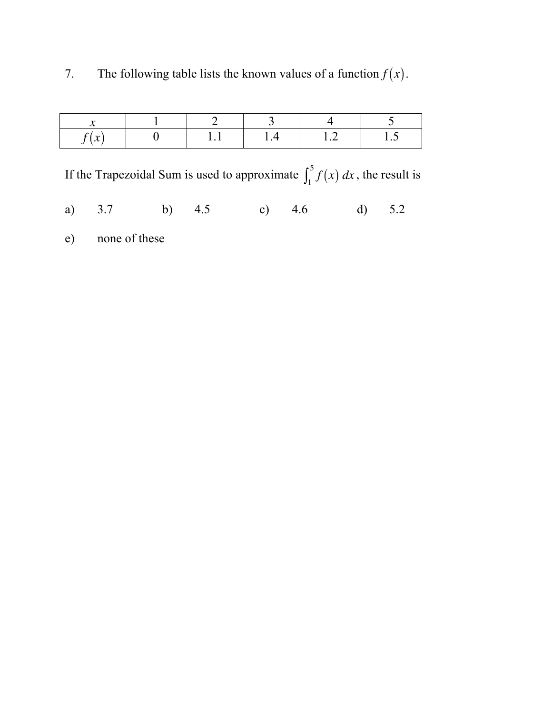| $\bullet$ |                |     |     |     |     |
|-----------|----------------|-----|-----|-----|-----|
| f(x)      | $\overline{0}$ | 1.1 | 1.4 | 1.2 | 1.5 |

7. The following table lists the known values of a function  $f(x)$ .

If the Trapezoidal Sum is used to approximate  $\int_1^5 f(x) dx$ , the result is

a) 3.7 b) 4.5 c) 4.6 d) 5.2

e) none of these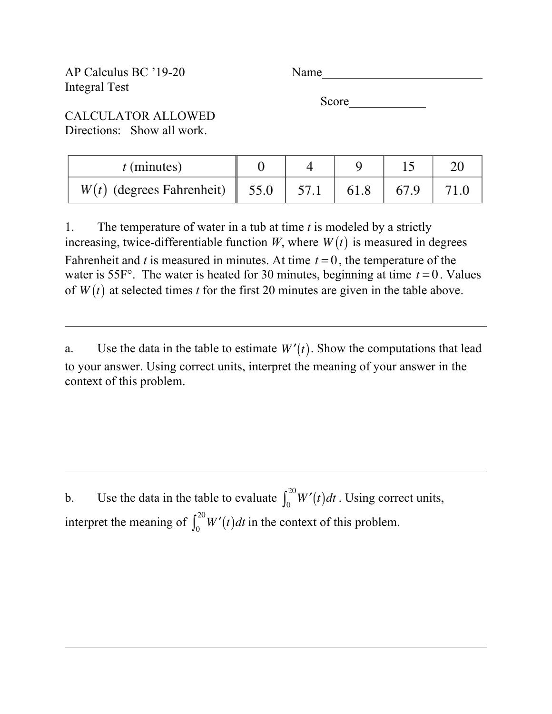AP Calculus BC '19-20 Name Integral Test

Score **Secondary** Secondary 1980

CALCULATOR ALLOWED Directions: Show all work.

| $t$ (minutes)               |                  |      |  |
|-----------------------------|------------------|------|--|
| $W(t)$ (degrees Fahrenheit) | $\parallel$ 55.0 | 61.8 |  |

1. The temperature of water in a tub at time *t* is modeled by a strictly increasing, twice-differentiable function  $W$ , where  $W(t)$  is measured in degrees Fahrenheit and  $t$  is measured in minutes. At time  $t = 0$ , the temperature of the water is 55 $F^{\circ}$ . The water is heated for 30 minutes, beginning at time  $t = 0$ . Values of  $W(t)$  at selected times *t* for the first 20 minutes are given in the table above.

a. Use the data in the table to estimate  $W'(t)$ . Show the computations that lead to your answer. Using correct units, interpret the meaning of your answer in the context of this problem.

b. Use the data in the table to evaluate  $\int_0^{20} W'(t) dt$ . Using correct units, interpret the meaning of  $\int_0^{20} W'(t) dt$  in the context of this problem.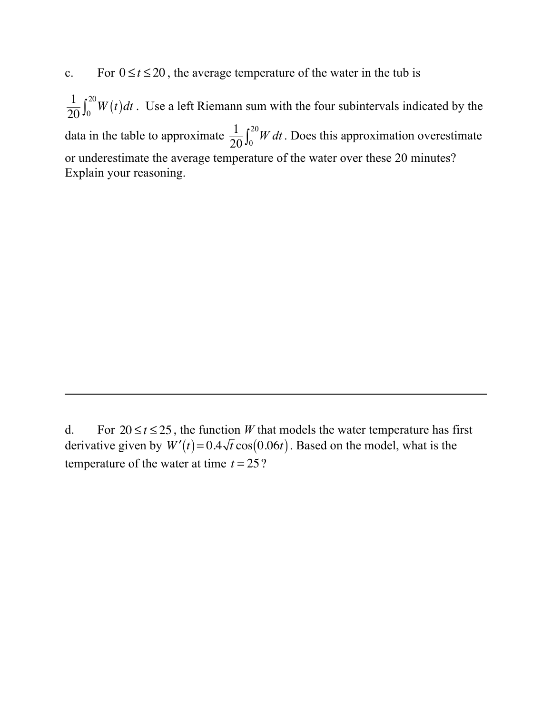c. For  $0 \le t \le 20$ , the average temperature of the water in the tub is

 $\frac{1}{20} \int_0^{20} W(t) dt$ . Use a left Riemann sum with the four subintervals indicated by the data in the table to approximate  $\frac{1}{20} \int_0^{20} W dt$ . Does this approximation overestimate or underestimate the average temperature of the water over these 20 minutes? Explain your reasoning.  $\int_0^{20}$ 

d. For  $20 \le t \le 25$ , the function *W* that models the water temperature has first derivative given by  $W'(t) = 0.4\sqrt{t}\cos(0.06t)$ . Based on the model, what is the temperature of the water at time  $t = 25$ ?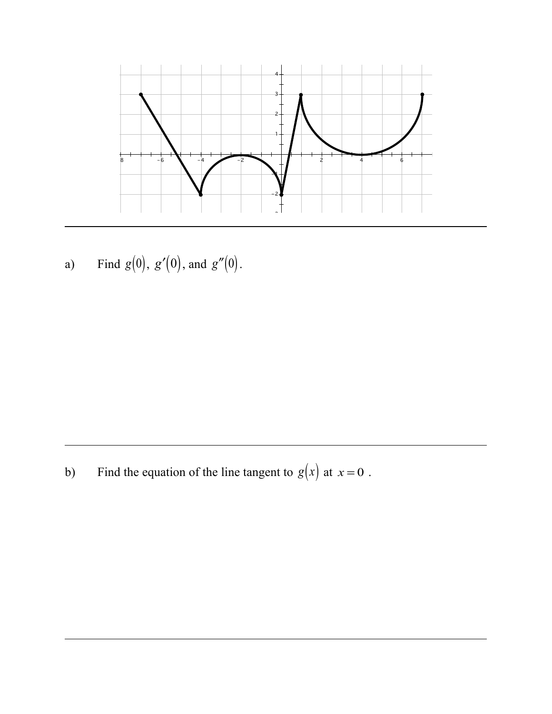

a) Find  $g(0), g'(0),$  and  $g''(0)$ .

b) Find the equation of the line tangent to  $g(x)$  at  $x = 0$ .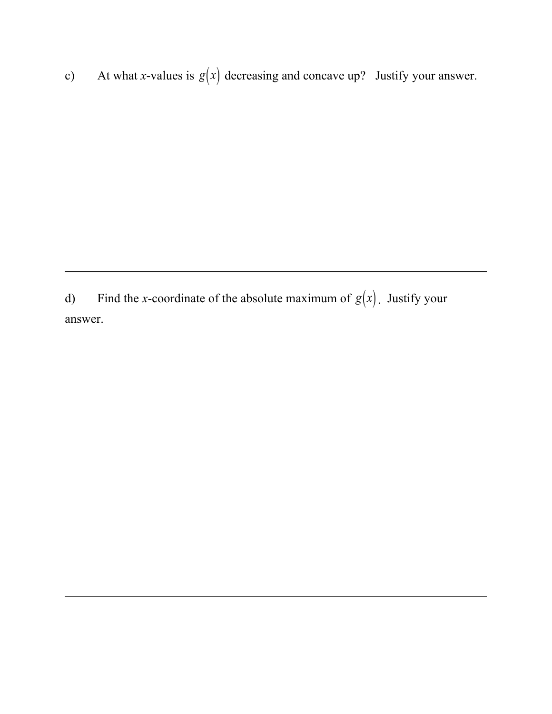c) At what *x*-values is  $g(x)$  decreasing and concave up? Justify your answer.

d) Find the *x*-coordinate of the absolute maximum of  $g(x)$ . Justify your answer.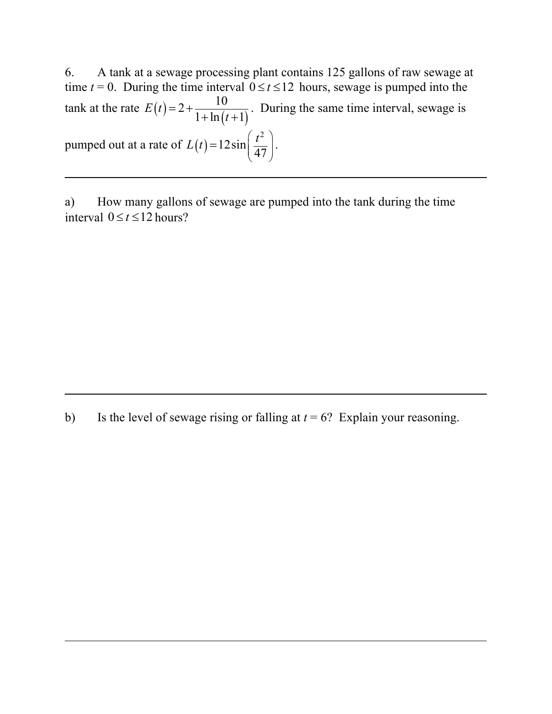6. A tank at a sewage processing plant contains 125 gallons of raw sewage at time  $t = 0$ . During the time interval  $0 \le t \le 12$  hours, sewage is pumped into the tank at the rate  $E(t) = 2 + \frac{10}{1 + \ln(t+1)}$ . During the same time interval, sewage is pumped out at a rate of  $L(t) = 12 \sin \left( \frac{t}{47} \right)$ .  $2+\frac{10}{1}$  $1 + \ln (t + 1)$ *E t t*  $= 2 +$  $+\ln(t +$ 2  $L(t) = 12\sin\left(\frac{t^2}{47}\right)$ =

a) How many gallons of sewage are pumped into the tank during the time interval  $0 \le t \le 12$  hours?

b) Is the level of sewage rising or falling at  $t = 6$ ? Explain your reasoning.